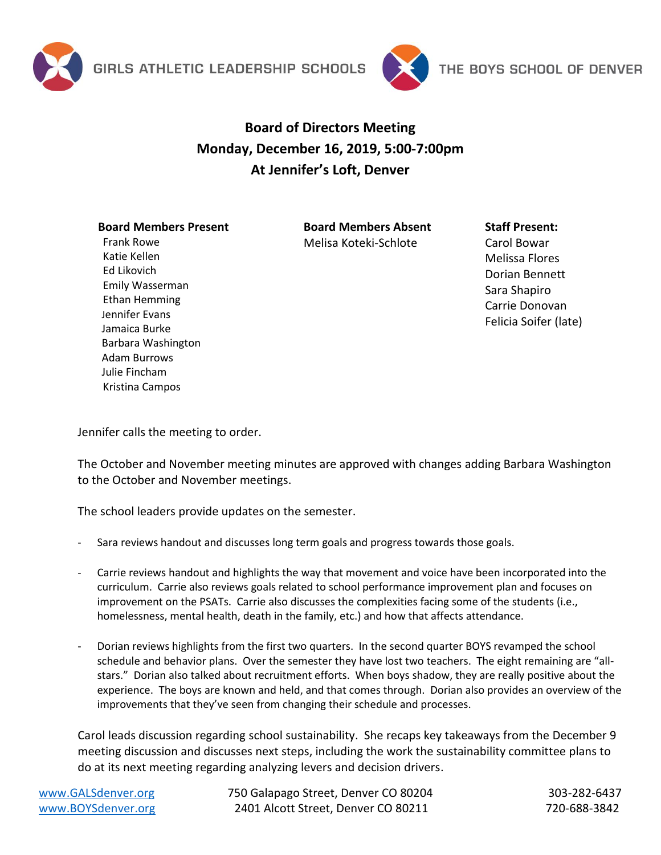



## **Board of Directors Meeting Monday, December 16, 2019, 5:00-7:00pm At Jennifer's Loft, Denver**

## **Board Members Present**

Frank Rowe Katie Kellen Ed Likovich

Emily Wasserman Ethan Hemming Jennifer Evans Jamaica Burke Barbara Washington Adam Burrows Julie Fincham Kristina Campos

**Board Members Absent** Melisa Koteki-Schlote

## **Staff Present:**

Carol Bowar Melissa Flores Dorian Bennett Sara Shapiro Carrie Donovan Felicia Soifer (late)

Jennifer calls the meeting to order.

The October and November meeting minutes are approved with changes adding Barbara Washington to the October and November meetings.

The school leaders provide updates on the semester.

- Sara reviews handout and discusses long term goals and progress towards those goals.
- Carrie reviews handout and highlights the way that movement and voice have been incorporated into the curriculum. Carrie also reviews goals related to school performance improvement plan and focuses on improvement on the PSATs. Carrie also discusses the complexities facing some of the students (i.e., homelessness, mental health, death in the family, etc.) and how that affects attendance.
- Dorian reviews highlights from the first two quarters. In the second quarter BOYS revamped the school schedule and behavior plans. Over the semester they have lost two teachers. The eight remaining are "allstars." Dorian also talked about recruitment efforts. When boys shadow, they are really positive about the experience. The boys are known and held, and that comes through. Dorian also provides an overview of the improvements that they've seen from changing their schedule and processes.

Carol leads discussion regarding school sustainability. She recaps key takeaways from the December 9 meeting discussion and discusses next steps, including the work the sustainability committee plans to do at its next meeting regarding analyzing levers and decision drivers.

[www.GALSdenver.org](http://www.galsdenver.org/) **750 Galapago Street, Denver CO 80204** 303-282-6437 [www.BOYSdenver.org](http://www.boysdenver.org/) 2401 Alcott Street, Denver CO 80211 720-688-3842